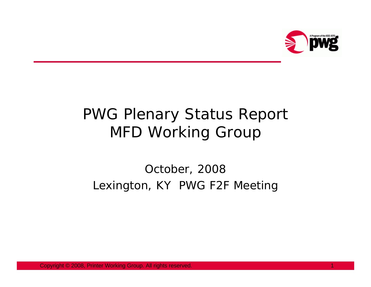

# PWG Plenary Status Report MFD Working Group

#### October, 2008 Lexington, KY PWG F2F Meeting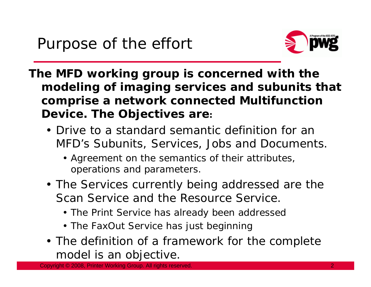

- **The MFD working group is concerned with the modeling of imaging services and subunits that comprise a network connected Multifunction Device. The Objectives are:** 
	- Drive to a standard semantic definition for an MFD's Subunits, Services, Jobs and Documents.
		- Agreement on the semantics of their attributes, operations and parameters.
	- The Services currently being addressed are the Scan Service and the Resource Service.
		- The Print Service has already been addressec
		- The FaxOut Service has just beginning
	- The definition of a framework for the complete model is an objective.

Copyright © 2008, Printer Working Group. All rights reserved.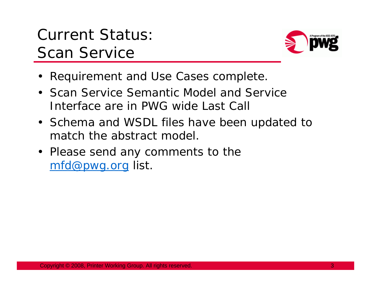## Current Status: Scan Service



- Requirement and Use Cases complete.
- Scan Service Semantic Model and Service Interface are in PWG wide Last Call
- Schema and WSDL files have been updated to match the abstract model.
- Please send any comments to the mfd@pwg.org list.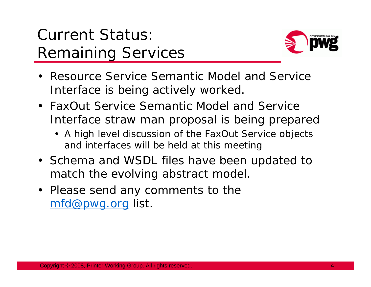# Current Status: Remaining Services



- Resource Service Semantic Model and Service Interface is being actively worked.
- FaxOut Service Semantic Model and Service Interface straw man proposal is being prepared
	- A high level discussion of the FaxOut Service objects and interfaces will be held at this meeting
- Schema and WSDL files have been updated to match the evolving abstract model.
- Please send any comments to the mfd@pwg.org list.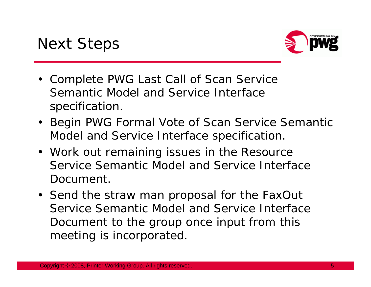

- Complete PWG Last Call of Scan Service Semantic Model and Service Interface specification.
- Begin PWG Formal Vote of Scan Service Semantic Model and Service Interface specification.
- Work out remaining issues in the Resource Service Semantic Model and Service Interface Document.
- Send the straw man proposal for the FaxOut Service Semantic Model and Service Interface Document to the group once input from this meeting is incorporated.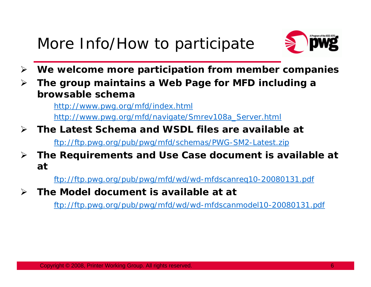## More Info/How to participate



- $\blacktriangleright$ **We welcome more participation from member companies**
- ¾ **The group maintains a Web Page for MFD including a browsable schema**

http://www.pwg.org/mfd/index.html http://www.pwg.org/mfd/navigate/Smrev108a\_Server.html

- $\blacktriangleright$  **The Latest Schema and WSDL files are available at** ftp://ftp.pwg.org/pub/pwg/mfd/schemas/PWG-SM2-Latest.zip
- ¾ **The Requirements and Use Case document is available at at**

ftp://ftp.pwg.org/pub/pwg/mfd/wd/wd-mfdscanreq10-20080131.pdf

¾**The Model document is available at at**

ftp://ftp.pwg.org/pub/pwg/mfd/wd/wd-mfdscanmodel10-20080131.pdf